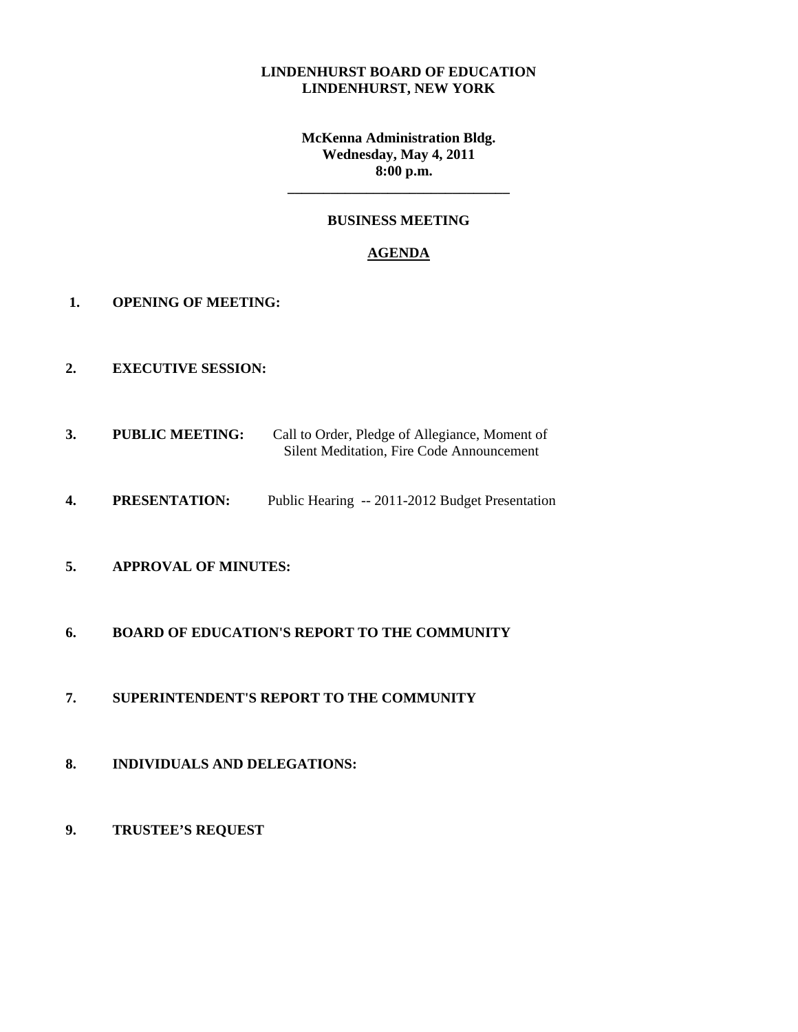#### **LINDENHURST BOARD OF EDUCATION LINDENHURST, NEW YORK**

**McKenna Administration Bldg. Wednesday, May 4, 2011 8:00 p.m.** 

## **BUSINESS MEETING**

**\_\_\_\_\_\_\_\_\_\_\_\_\_\_\_\_\_\_\_\_\_\_\_\_\_\_\_\_\_\_\_** 

### **AGENDA**

- **1. OPENING OF MEETING:**
- **2. EXECUTIVE SESSION:**
- **3. PUBLIC MEETING:** Call to Order, Pledge of Allegiance, Moment of Silent Meditation, Fire Code Announcement
- **4. PRESENTATION:** Public Hearing -- 2011-2012 Budget Presentation

# **5. APPROVAL OF MINUTES:**

## **6. BOARD OF EDUCATION'S REPORT TO THE COMMUNITY**

- **7. SUPERINTENDENT'S REPORT TO THE COMMUNITY**
- **8. INDIVIDUALS AND DELEGATIONS:**
- **9. TRUSTEE'S REQUEST**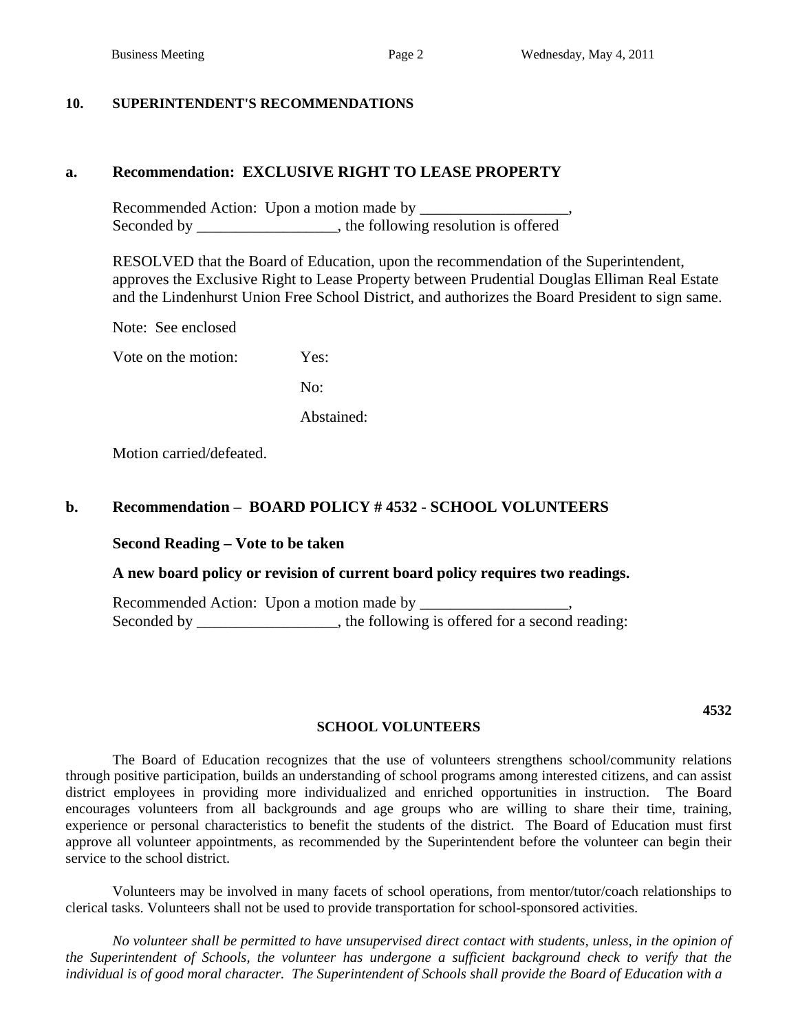#### **10. SUPERINTENDENT'S RECOMMENDATIONS**

# **a. Recommendation: EXCLUSIVE RIGHT TO LEASE PROPERTY**

Recommended Action: Upon a motion made by \_\_\_\_\_\_\_\_\_\_\_\_\_\_\_\_\_\_\_, Seconded by \_\_\_\_\_\_\_\_\_\_\_\_\_\_\_\_, the following resolution is offered

RESOLVED that the Board of Education, upon the recommendation of the Superintendent, approves the Exclusive Right to Lease Property between Prudential Douglas Elliman Real Estate and the Lindenhurst Union Free School District, and authorizes the Board President to sign same.

Note: See enclosed

Vote on the motion: Yes:

No:

Abstained:

Motion carried/defeated.

#### **b. Recommendation – BOARD POLICY # 4532 - SCHOOL VOLUNTEERS**

#### **Second Reading – Vote to be taken**

#### **A new board policy or revision of current board policy requires two readings.**

Recommended Action: Upon a motion made by Seconded by \_\_\_\_\_\_\_\_\_\_\_\_\_\_\_, the following is offered for a second reading:

#### **SCHOOL VOLUNTEERS**

**4532** 

 The Board of Education recognizes that the use of volunteers strengthens school/community relations through positive participation, builds an understanding of school programs among interested citizens, and can assist district employees in providing more individualized and enriched opportunities in instruction. The Board encourages volunteers from all backgrounds and age groups who are willing to share their time, training, experience or personal characteristics to benefit the students of the district. The Board of Education must first approve all volunteer appointments, as recommended by the Superintendent before the volunteer can begin their service to the school district.

 Volunteers may be involved in many facets of school operations, from mentor/tutor/coach relationships to clerical tasks. Volunteers shall not be used to provide transportation for school-sponsored activities.

 *No volunteer shall be permitted to have unsupervised direct contact with students, unless, in the opinion of the Superintendent of Schools, the volunteer has undergone a sufficient background check to verify that the individual is of good moral character. The Superintendent of Schools shall provide the Board of Education with a*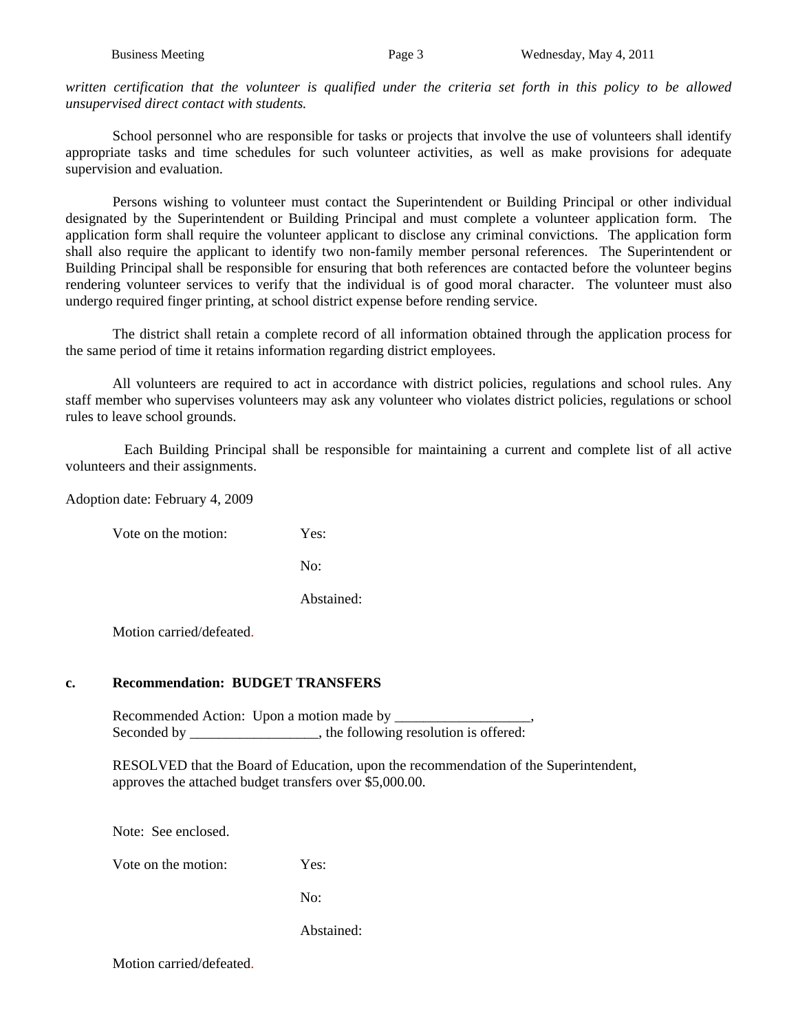written certification that the volunteer is qualified under the criteria set forth in this policy to be allowed *unsupervised direct contact with students.* 

 School personnel who are responsible for tasks or projects that involve the use of volunteers shall identify appropriate tasks and time schedules for such volunteer activities, as well as make provisions for adequate supervision and evaluation.

Persons wishing to volunteer must contact the Superintendent or Building Principal or other individual designated by the Superintendent or Building Principal and must complete a volunteer application form. The application form shall require the volunteer applicant to disclose any criminal convictions. The application form shall also require the applicant to identify two non-family member personal references. The Superintendent or Building Principal shall be responsible for ensuring that both references are contacted before the volunteer begins rendering volunteer services to verify that the individual is of good moral character. The volunteer must also undergo required finger printing, at school district expense before rending service.

The district shall retain a complete record of all information obtained through the application process for the same period of time it retains information regarding district employees.

All volunteers are required to act in accordance with district policies, regulations and school rules. Any staff member who supervises volunteers may ask any volunteer who violates district policies, regulations or school rules to leave school grounds.

 Each Building Principal shall be responsible for maintaining a current and complete list of all active volunteers and their assignments.

Adoption date: February 4, 2009

Vote on the motion: Yes:

No:

Abstained:

Motion carried/defeated.

#### **c. Recommendation: BUDGET TRANSFERS**

 Recommended Action: Upon a motion made by \_\_\_\_\_\_\_\_\_\_\_\_\_\_\_\_\_\_\_, Seconded by \_\_\_\_\_\_\_\_\_\_\_\_\_\_\_, the following resolution is offered:

 RESOLVED that the Board of Education, upon the recommendation of the Superintendent, approves the attached budget transfers over \$5,000.00.

Note: See enclosed.

Vote on the motion: Yes:

No:

Abstained:

Motion carried/defeated.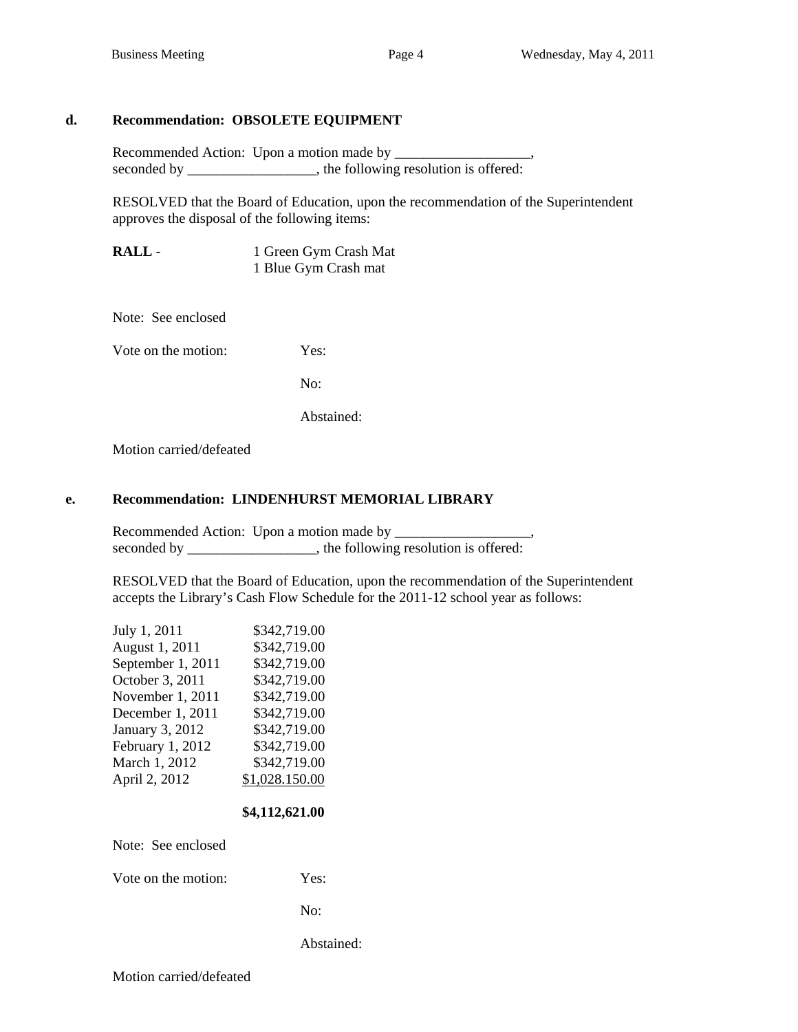## **d. Recommendation: OBSOLETE EQUIPMENT**

Recommended Action: Upon a motion made by \_\_\_\_\_\_\_\_\_\_\_\_\_\_\_\_\_\_\_, seconded by \_\_\_\_\_\_\_\_\_\_\_\_\_\_\_, the following resolution is offered:

RESOLVED that the Board of Education, upon the recommendation of the Superintendent approves the disposal of the following items:

**RALL - 1 Green Gym Crash Mat** 1 Blue Gym Crash mat

Note: See enclosed

Vote on the motion: Yes:

No:

Abstained:

Motion carried/defeated

## **e. Recommendation: LINDENHURST MEMORIAL LIBRARY**

Recommended Action: Upon a motion made by \_\_\_\_\_\_\_\_\_\_\_\_\_\_\_\_\_\_\_, seconded by \_\_\_\_\_\_\_\_\_\_\_\_\_\_\_, the following resolution is offered:

RESOLVED that the Board of Education, upon the recommendation of the Superintendent accepts the Library's Cash Flow Schedule for the 2011-12 school year as follows:

| July 1, 2011      | \$342,719.00   |
|-------------------|----------------|
| August 1, 2011    | \$342,719.00   |
| September 1, 2011 | \$342,719.00   |
| October 3, 2011   | \$342,719.00   |
| November 1, 2011  | \$342,719.00   |
| December 1, 2011  | \$342,719.00   |
| January 3, 2012   | \$342,719.00   |
| February 1, 2012  | \$342,719.00   |
| March 1, 2012     | \$342,719.00   |
| April 2, 2012     | \$1,028.150.00 |
|                   |                |

#### **\$4,112,621.00**

Note: See enclosed

Vote on the motion: Yes:

No:

Abstained: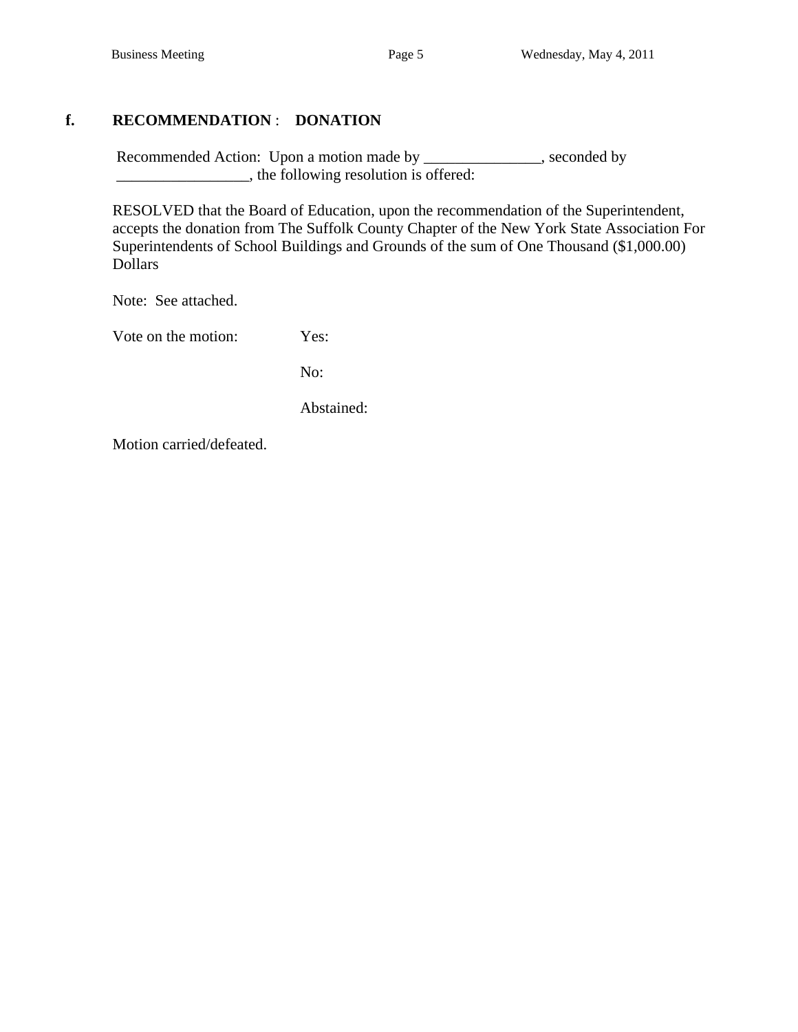# **f. RECOMMENDATION** : **DONATION**

Recommended Action: Upon a motion made by \_\_\_\_\_\_\_\_\_\_\_\_\_, seconded by \_\_\_\_\_\_\_\_\_\_\_\_\_\_\_\_\_, the following resolution is offered:

 RESOLVED that the Board of Education, upon the recommendation of the Superintendent, accepts the donation from The Suffolk County Chapter of the New York State Association For Superintendents of School Buildings and Grounds of the sum of One Thousand (\$1,000.00) Dollars

Note: See attached.

Vote on the motion: Yes:

No:

Abstained:

Motion carried/defeated.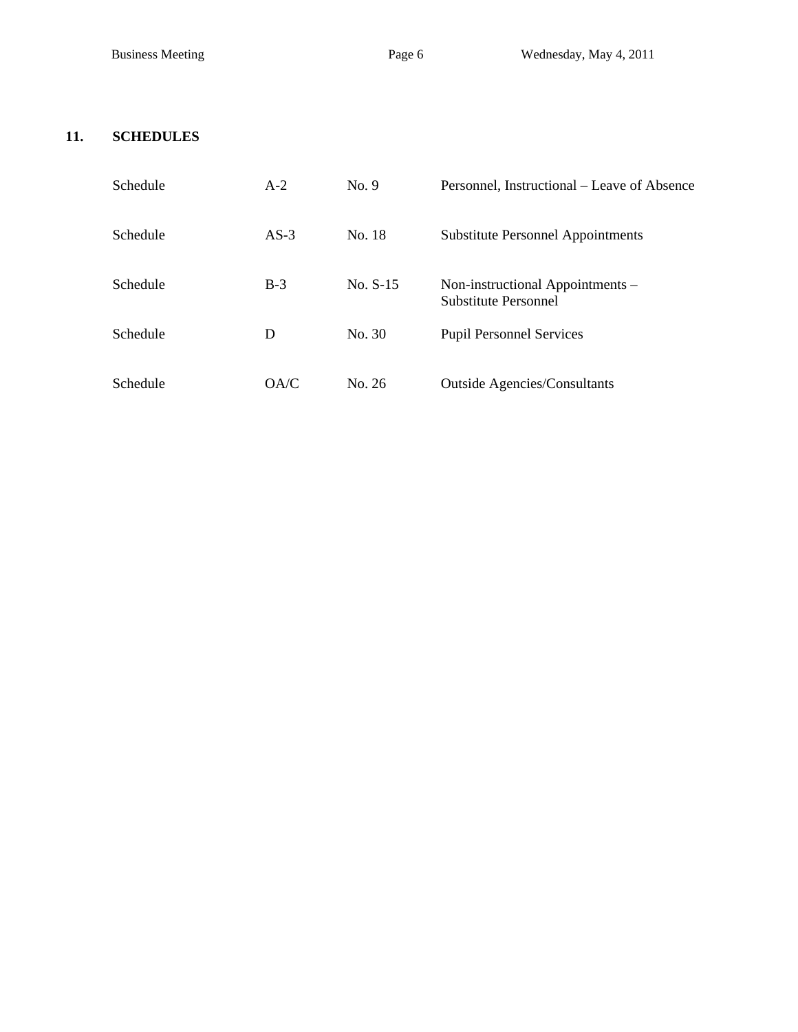# **11. SCHEDULES**

| Schedule | $A-2$  | No. 9      | Personnel, Instructional – Leave of Absence              |
|----------|--------|------------|----------------------------------------------------------|
| Schedule | $AS-3$ | No. 18     | <b>Substitute Personnel Appointments</b>                 |
| Schedule | $B-3$  | $No. S-15$ | Non-instructional Appointments –<br>Substitute Personnel |
| Schedule | D      | No. 30     | <b>Pupil Personnel Services</b>                          |
| Schedule | OA/C   | No. 26     | <b>Outside Agencies/Consultants</b>                      |